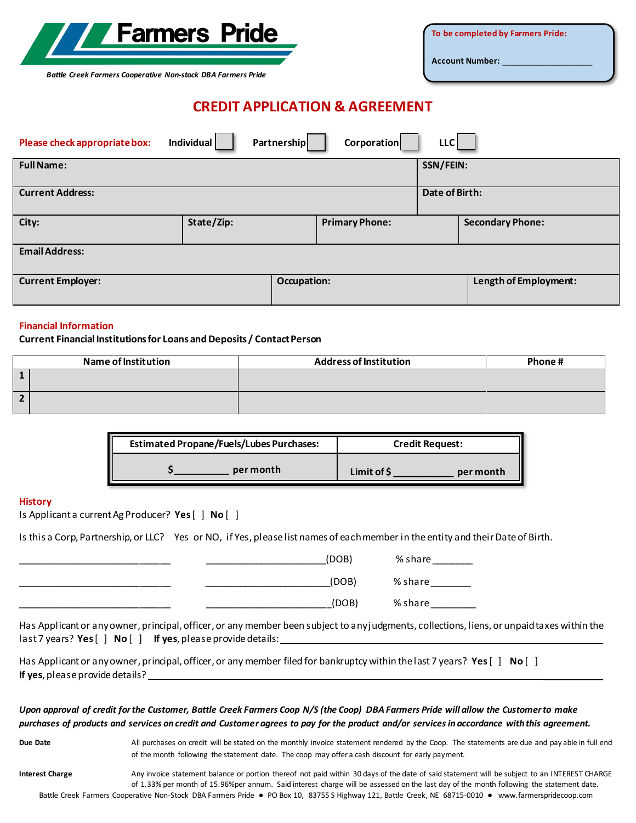

**To be completed by Farmers Pride:**

**Account Number:** \_\_\_\_\_\_\_\_\_\_\_\_\_\_\_\_\_\_

*Battle Creek Farmers Cooperative Non-stock DBA Farmers Pride*

# **CREDIT APPLICATION & AGREEMENT**

| Please check appropriate box: | Individual | Partnership |                    | Corporation           | LLC            |                         |
|-------------------------------|------------|-------------|--------------------|-----------------------|----------------|-------------------------|
| <b>Full Name:</b>             |            |             |                    |                       | SSN/FEIN:      |                         |
| <b>Current Address:</b>       |            |             |                    |                       | Date of Birth: |                         |
| City:                         | State/Zip: |             |                    | <b>Primary Phone:</b> |                | <b>Secondary Phone:</b> |
| <b>Email Address:</b>         |            |             |                    |                       |                |                         |
| <b>Current Employer:</b>      |            |             | <b>Occupation:</b> |                       |                | Length of Employment:   |

#### **Financial Information**

#### **Current Financial Institutions for Loans and Deposits / Contact Person**

| <b>Name of Institution</b> | <b>Address of Institution</b> | Phone # |
|----------------------------|-------------------------------|---------|
|                            |                               |         |
|                            |                               |         |

| <b>Estimated Propane/Fuels/Lubes Purchases:</b> | <b>Credit Request:</b>  |  |  |
|-------------------------------------------------|-------------------------|--|--|
| per month                                       | Limit of S<br>per month |  |  |

#### **History**

Is Applicant a current Ag Producer? **Yes**[ ] **No** [ ]

Is this a Corp, Partnership, or LLC? Yes or NO, if Yes, please list names of each member in the entity and their Date of Birth.

|  | (DOB) | % share |
|--|-------|---------|
|  | (DOB) | % share |
|  | (DOB) | % share |

Has Applicant or any owner, principal, officer, or any member been subject to any judgments, collections, liens, or unpaid taxes within the last 7 years? Yes [ ] No [ ] If yes, please provide details:

Has Applicant or any owner, principal, officer, or any member filed for bankruptcy within the last 7 years? **Yes**[ ] **No** [ ] **If yes**, please provide details? \_\_\_\_\_\_\_\_\_\_\_\_

## *Upon approval of credit for the Customer, Battle Creek Farmers Coop N/S (the Coop) DBA Farmers Pride will allow the Customer to make purchases of products and services on credit and Customer agrees to pay for the product and/or services in accordance with this agreement.*

Due Date **All purchases on credit will be stated on the monthly invoice statement rendered by the Coop. The statements are due and pay able in full end** of the month following the statement date. The coop may offer a cash discount for early payment.

Battle Creek Farmers Cooperative Non-Stock DBA Farmers Pride ● PO Box 10, 83755 S Highway 121, Battle Creek, NE 68715-0010 ● www.farmerspridecoop.com Interest Charge **Any invoice statement balance or portion** thereof not paid within 30 days of the date of said statement will be subject to an INTEREST CHARGE of 1.33% per month of 15.96%per annum. Said interest charge will be assessed on the last day of the month following the statement date.